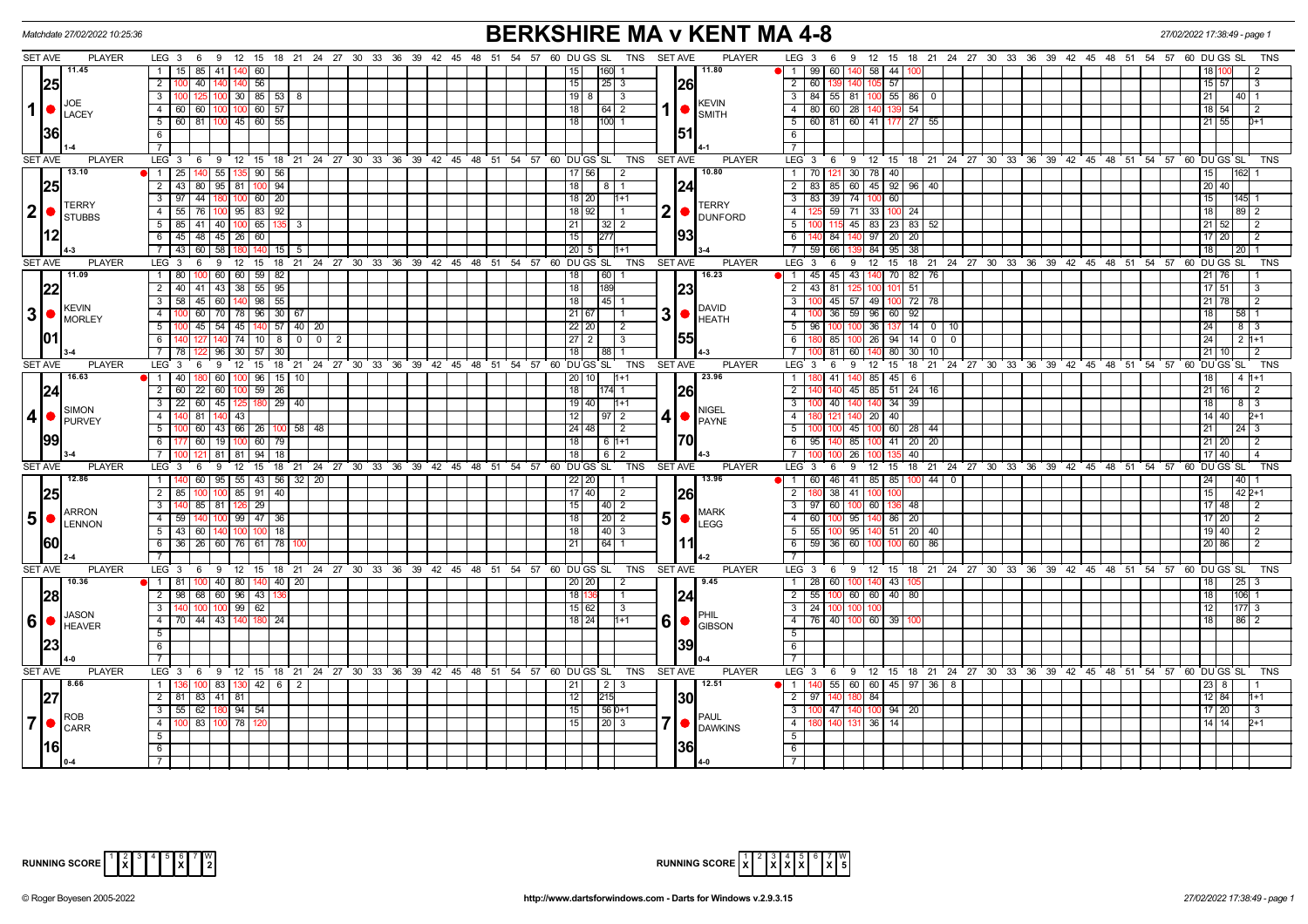|                 | Matchdate 27/02/2022 10:25:36                            |                                                                        |                                                                                    | <b>BERKSHIRE MA v KENT MA 4-8</b>                                     |                                                                                    |  |  |  |  |  |  |  |  |  |  |  |
|-----------------|----------------------------------------------------------|------------------------------------------------------------------------|------------------------------------------------------------------------------------|-----------------------------------------------------------------------|------------------------------------------------------------------------------------|--|--|--|--|--|--|--|--|--|--|--|
|                 | <b>SET AVE</b><br><b>PLAYER</b>                          |                                                                        | LEG 3 6 9 12 15 18 21 24 27 30 33 36 39 42 45 48 51 54 57 60 DUGS SL               | TNS SET AVE<br><b>PLAYER</b>                                          | LEG 3 6 9 12 15 18 21 24 27 30 33 36 39 42 45 48 51 54 57 60 DUGS SL<br>TNS        |  |  |  |  |  |  |  |  |  |  |  |
|                 | 11.45                                                    | $\overline{1}$<br>15   85   41   140   60                              | 160                                                                                | 11.80<br>  1   99 60  <br>58 44                                       |                                                                                    |  |  |  |  |  |  |  |  |  |  |  |
|                 | 25                                                       | 56<br>$\overline{2}$<br>40                                             | 15<br>25<br>-3                                                                     | 26 <br>$\overline{2}$<br>60 13<br>57                                  | 15 57                                                                              |  |  |  |  |  |  |  |  |  |  |  |
|                 | <b>JOE</b>                                               | $100$ 30 85 53 8<br>$\mathbf{3}$<br>125 <sup>1</sup>                   | 19 8<br>l 3                                                                        | 3 84 55 81 100 55 86<br>$\mathbf{0}$<br><b>KEVIN</b>                  | 21 L<br>140 I 1                                                                    |  |  |  |  |  |  |  |  |  |  |  |
| 1  <sub>•</sub> | LACEY                                                    | 4 60 60 100 100 60 57                                                  | 18<br> 64 2                                                                        | 4   80   60   28   140 139 54<br>$\big \bullet\big _{\mathsf{SMITH}}$ | 18 54 <br>l 2                                                                      |  |  |  |  |  |  |  |  |  |  |  |
|                 |                                                          | 5   60   81   100   45   60   55                                       | 18<br>$1100$ 1                                                                     | 5 60 81 60 41 177 27 55                                               | $21$ 55<br>$D+1$                                                                   |  |  |  |  |  |  |  |  |  |  |  |
|                 | 36                                                       | 6                                                                      |                                                                                    | 51 <br>6                                                              |                                                                                    |  |  |  |  |  |  |  |  |  |  |  |
|                 |                                                          |                                                                        |                                                                                    | $\overline{7}$                                                        |                                                                                    |  |  |  |  |  |  |  |  |  |  |  |
|                 | <b>SET AVE</b><br><b>PLAYER</b>                          | LEG <sup>3</sup>                                                       | 6 9 12 15 18 21 24 27 30 33 36 39 42 45 48 51 54 57 60 DUGS SL<br>TNS              | <b>SET AVE</b><br><b>PLAYER</b>                                       | LEG 3 6 9 12 15 18 21 24 27 30 33 36 39 42 45 48 51 54 57 60 DUGS SL<br><b>TNS</b> |  |  |  |  |  |  |  |  |  |  |  |
|                 | 13.10                                                    | 1   25   140   55   135   90   56                                      | 17   56  <br>$\overline{2}$                                                        | 1 70 121 30 78 40<br>10.80                                            | 15 <sup>1</sup><br>162 1                                                           |  |  |  |  |  |  |  |  |  |  |  |
|                 | 25                                                       | 2 43 80 95 81 100 94                                                   | 18<br>$\begin{array}{c c c c c} 8 & 1 \end{array}$                                 | 2 83 85 60 45 92 96 40<br> 24                                         | 20 40                                                                              |  |  |  |  |  |  |  |  |  |  |  |
|                 | <b>TERRY</b>                                             | $3$   97   44   180   100   60   20                                    | 18 20 <br>1+1                                                                      | $3$ 83 39 74 100 60<br>TERRY                                          | 15<br>$145$ 1                                                                      |  |  |  |  |  |  |  |  |  |  |  |
| $ 2  \bullet$   | <b>STUBBS</b>                                            | 4 55 76 100 95 83 92                                                   | $18 \mid 92 \mid$ 1                                                                | $\mathbf 2$<br>4 125 59 71 33 100 24<br><b>O</b> DUNFORD              | 89 2<br>18                                                                         |  |  |  |  |  |  |  |  |  |  |  |
|                 | 12                                                       | 5   85   41   40   100   65   135   3                                  | 21                                                                                 | $5^{\circ}$<br>100 115 45 83 23 83 52<br> 93                          | 21   52  <br>$\frac{1}{2}$                                                         |  |  |  |  |  |  |  |  |  |  |  |
|                 |                                                          | 6 45 48 45 26 60<br>7 43 60 58 180<br>$140$ 15 5                       | 15<br>277<br> 20 5 <br>$1+1$                                                       | 6<br>84<br>140 97 20 20<br>7 59 66<br>139 84 95 38                    | $17$   20 <br>l 2<br>18                                                            |  |  |  |  |  |  |  |  |  |  |  |
|                 | <b>SET AVE</b><br><b>PLAYER</b>                          | LEG <sup>3</sup><br>-9<br>$12^{\circ}$<br>6                            | 15 18 21 24 27 30 33 36 39 42 45 48 51 54 57 60 DUGS SL<br>TNS                     | <b>SET AVE</b><br><b>PLAYER</b><br>LEG $3$ 6 $9$                      | 20   1<br>12 15 18 21 24 27 30 33 36 39 42 45 48 51 54 57 60 DUGS SL<br>TNS        |  |  |  |  |  |  |  |  |  |  |  |
|                 | 111.09                                                   | 100 60 60 59 82<br>$\overline{1}$<br>  80                              | 18<br>$\boxed{60}$                                                                 | 16.23<br>  1   45   45   43   140   70   82   76                      | $21$ 76                                                                            |  |  |  |  |  |  |  |  |  |  |  |
|                 | 22                                                       | 2 40 41 43 38 55 95                                                    | 18 <br>189                                                                         | 23 <br>$2$ 43 81<br>101 51<br>125 100                                 | $17$ 51<br>l 3                                                                     |  |  |  |  |  |  |  |  |  |  |  |
|                 |                                                          | $3$   58   45   60   140   98   55                                     | 18 <br> 45 1                                                                       | 3 100 45 57 49 100 72 78                                              | $21$ 78<br>l 2                                                                     |  |  |  |  |  |  |  |  |  |  |  |
|                 | KEVIN                                                    | 60<br>70 78 96<br>$30 \mid 67$<br>$\overline{4}$                       | 21   67                                                                            | DAVID<br>3<br>$-4$<br>36 59 96 60<br>92                               | 18 I<br>15811                                                                      |  |  |  |  |  |  |  |  |  |  |  |
|                 |                                                          | 140 57 40 20<br>45 54 45<br>5                                          | $22$   20<br>2                                                                     | $\bullet$ HEATH<br>$14$ 0 10<br>5 <sub>5</sub><br>36 137<br>96<br>10C | 24<br>8   3                                                                        |  |  |  |  |  |  |  |  |  |  |  |
|                 | 101                                                      | 127<br>$140$ 74 10 8 0 0<br>6<br>$\overline{2}$                        | $27$   2<br>3                                                                      | 55 <br>100 26 94 14<br>6<br>180 85<br>$\overline{0}$<br>- 0           | 24<br>$2h+1$                                                                       |  |  |  |  |  |  |  |  |  |  |  |
|                 |                                                          | 96 30 57<br>30 <sup>°</sup>                                            | 18<br>88                                                                           | 7<br>81 60<br>80<br>30<br>10 <sup>1</sup>                             | 21110                                                                              |  |  |  |  |  |  |  |  |  |  |  |
|                 | <b>SET AVE</b><br><b>PLAYER</b>                          | $LEG$ 3<br>$6^{\circ}$                                                 | 9 12 15 18 21 24 27 30 33 36 39 42 45 48 51 54 57 60 DUGSSL<br>TNS                 | <b>SET AVE</b><br><b>PLAYER</b>                                       | LEG 3 6 9 12 15 18 21 24 27 30 33 36 39 42 45 48 51 54 57 60 DUGS SL<br>TNS        |  |  |  |  |  |  |  |  |  |  |  |
|                 | 16.63                                                    | $\blacksquare$<br>40<br>60   100   96   15   10                        | 20 10                                                                              | 23.96<br>$1 \vert$<br>41<br>85<br>45 6                                | 18 I<br>l 4 h+1                                                                    |  |  |  |  |  |  |  |  |  |  |  |
|                 | 24                                                       | $\overline{2}$<br>60 22 60 100 59 26                                   | 18<br>1174                                                                         | 26 <br>$\overline{2}$<br>45 85 51 24 16                               | 21 16 <br>$\overline{2}$                                                           |  |  |  |  |  |  |  |  |  |  |  |
|                 | <b>SIMON</b>                                             | 22   60   45   125  <br>$29 \mid 40$<br>$\overline{\mathbf{3}}$<br>180 | 19 40                                                                              | $\overline{\mathbf{3}}$<br>100 40<br>140 34 39<br><b>INIGEL</b>       | 18 I                                                                               |  |  |  |  |  |  |  |  |  |  |  |
| 4 •             | <b>PURVEY</b>                                            | 81   140   43<br>4 <sup>1</sup>                                        | 12<br>$97$   2                                                                     | 41<br>140 20 40<br>$\overline{4}$<br>PAYNE                            | $14$   40  <br>$2+1$                                                               |  |  |  |  |  |  |  |  |  |  |  |
|                 |                                                          | 00 60 43 66 26 100 58 48<br>5                                          | 24   48  <br>$\vert$ 2                                                             | 5<br>100 100 45 100 60 28 44                                          | 21 L<br>  24   3                                                                   |  |  |  |  |  |  |  |  |  |  |  |
|                 | 99                                                       | 6   177   60   19   100   60   79                                      | 18  <br>$161+1$                                                                    | l70l<br>6 95 140 85 100 41 20 20                                      | 21   20  <br>$\frac{12}{2}$                                                        |  |  |  |  |  |  |  |  |  |  |  |
|                 |                                                          | 121   81   81   94   18  <br>7 L'                                      | 18<br>612                                                                          | $\overline{7}$<br>$100$ 26<br>40                                      | $17$  40 <br>l 4                                                                   |  |  |  |  |  |  |  |  |  |  |  |
| <b>SET AVE</b>  | <b>PLAYER</b>                                            | $LEG \ 3$<br>9<br>12<br>15<br>- 6                                      | 18 21 24 27 30 33 36 39 42 45 48 51 54 57 60 DUGS SL<br>TNS                        | <b>SET AVE</b><br><b>PLAYER</b><br>LEG <sub>3</sub><br>6<br>9         | 12 15 18 21 24 27 30 33 36 39 42 45 48 51 54 57 60 DUGS SL<br><b>TNS</b>           |  |  |  |  |  |  |  |  |  |  |  |
|                 | 12.86                                                    | 1   140   60   95   55   43   56   32   20                             | 22   20                                                                            | 1 60 46 41 85 85 100 44 0<br>13.96                                    | $24 \mid$<br>l 40 l                                                                |  |  |  |  |  |  |  |  |  |  |  |
|                 | 25                                                       | $100$ 85   91  <br>40<br>$2 \mid 85$                                   | 17 40<br>l 2                                                                       | 38 41<br><b>26</b><br>$\overline{2}$                                  | 15<br>42 2+1                                                                       |  |  |  |  |  |  |  |  |  |  |  |
|                 | <b>ARRON</b>                                             | 85 81 126 29<br>3   140  <br>4   59                                    | 15                                                                                 | 3   97   60   100   60   136   48<br><b>MARK</b><br>5 <sup>1</sup>    | $17$ 48<br>l 2<br>l 2                                                              |  |  |  |  |  |  |  |  |  |  |  |
|                 | $5 \nvert \bullet \nvert_{\text{LENNON}}^{\text{AKKUN}}$ | 140 100 99 47 36<br>5 43 60 140 100 100 18                             | 18 <br>18<br>$ 40 $ 3                                                              | 4 60 100 95 140 86 20<br>LEGG<br>5 5 5 100 95 140 51 20 40            | $17$   20 <br>19   40  <br>$\sqrt{2}$                                              |  |  |  |  |  |  |  |  |  |  |  |
|                 | 160                                                      | $26$ 60 76 61 78<br>6<br>36                                            | 21<br>$64$ 1                                                                       | $59$ 36 60 10<br>6<br>60 86                                           | 20 86                                                                              |  |  |  |  |  |  |  |  |  |  |  |
|                 |                                                          |                                                                        |                                                                                    | $\overline{7}$                                                        |                                                                                    |  |  |  |  |  |  |  |  |  |  |  |
|                 | <b>SET AVE</b><br><b>PLAYER</b>                          |                                                                        | LEG 3 6 9 12 15 18 21 24 27 30 33 36 39 42 45 48 51 54 57 60 DUGS SL<br><b>TNS</b> | <b>SET AVE</b><br><b>PLAYER</b><br>$LEG_3$ 6                          | 9 12 15 18 21 24 27 30 33 36 39 42 45 48 51 54 57 60 DUGS SL<br><b>TNS</b>         |  |  |  |  |  |  |  |  |  |  |  |
|                 | 10.36                                                    | 100 40 80 140 40 20<br>1 81                                            | 20 20<br>$\vert$ 2                                                                 | 9.45<br>1 28 60 100 140 43                                            | 18<br>$\sqrt{25}$ 3                                                                |  |  |  |  |  |  |  |  |  |  |  |
|                 | 28                                                       | 98   68   60   96   43  <br>2                                          | 18<br>$\vert$ 1                                                                    | 24<br>$2$ 55 100 60 60 40 80                                          | 18 <sup>1</sup><br>l106 11                                                         |  |  |  |  |  |  |  |  |  |  |  |
|                 |                                                          | 140 100 100 99 62<br>$\mathbf{3}$                                      | 15 62 <br>3                                                                        | 3 24 100 100 100                                                      | 12 <sub>1</sub><br>$177$ 3                                                         |  |  |  |  |  |  |  |  |  |  |  |
|                 | $6$ $\bullet$ $\overline{\phantom{a}}$ HEAVER            | 70 44 43 140<br>$\overline{4}$<br>24                                   | $18$   24<br>1+1                                                                   | I PHII<br>6<br>4 76 40 100 60 39<br>GIBSON                            | 18 <sup>1</sup><br>86 2                                                            |  |  |  |  |  |  |  |  |  |  |  |
|                 |                                                          | 5                                                                      |                                                                                    | $\overline{5}$                                                        |                                                                                    |  |  |  |  |  |  |  |  |  |  |  |
|                 | 23                                                       | 6                                                                      |                                                                                    | 39 <br>6                                                              |                                                                                    |  |  |  |  |  |  |  |  |  |  |  |
|                 |                                                          |                                                                        |                                                                                    | $\overline{7}$                                                        |                                                                                    |  |  |  |  |  |  |  |  |  |  |  |
|                 | <b>SET AVE</b><br><b>PLAYER</b>                          |                                                                        | LEG 3 6 9 12 15 18 21 24 27 30 33 36 39 42 45 48 51 54 57 60 DUGS SL               | <b>PLAYER</b><br>TNS SET AVE                                          | LEG 3 6 9 12 15 18 21 24 27 30 33 36 39 42 45 48 51 54 57 60 DUGS SL<br><b>TNS</b> |  |  |  |  |  |  |  |  |  |  |  |
|                 | 18.66                                                    | 100 83 130 42 6 2<br>1   1                                             | $\begin{array}{c c c c c} 2 & 3 \end{array}$<br>  21                               | 12.51<br>  1   140   55   60   60   45   97   36   8                  | 23   8                                                                             |  |  |  |  |  |  |  |  |  |  |  |
|                 | 27                                                       | 2 81 83 41 81                                                          | 12<br>215                                                                          | 30 <br>2 97 140<br>84                                                 | $12$ 84<br>11+1                                                                    |  |  |  |  |  |  |  |  |  |  |  |
|                 | <b>ROB</b>                                               | 55   62]<br>180 94 54<br>3                                             | $156D+1$<br>15                                                                     | $\overline{\mathbf{3}}$<br>47<br>100 94 20<br>PAUL                    | $17$   20<br>  3                                                                   |  |  |  |  |  |  |  |  |  |  |  |
| 7 <sup>1</sup>  | <b>CARR</b>                                              | 83<br>$100$ 78<br>$\overline{4}$                                       | 15<br>20 3                                                                         | $\overline{4}$<br>36 14<br>140<br>131<br><b>DAWKINS</b>               | 14   14  <br>$2+1$                                                                 |  |  |  |  |  |  |  |  |  |  |  |
|                 |                                                          | 5                                                                      |                                                                                    | $5\overline{)}$<br> 36                                                |                                                                                    |  |  |  |  |  |  |  |  |  |  |  |
|                 | <b>16</b>                                                | 6                                                                      |                                                                                    | 6                                                                     |                                                                                    |  |  |  |  |  |  |  |  |  |  |  |
|                 |                                                          |                                                                        |                                                                                    | $\overline{7}$                                                        |                                                                                    |  |  |  |  |  |  |  |  |  |  |  |



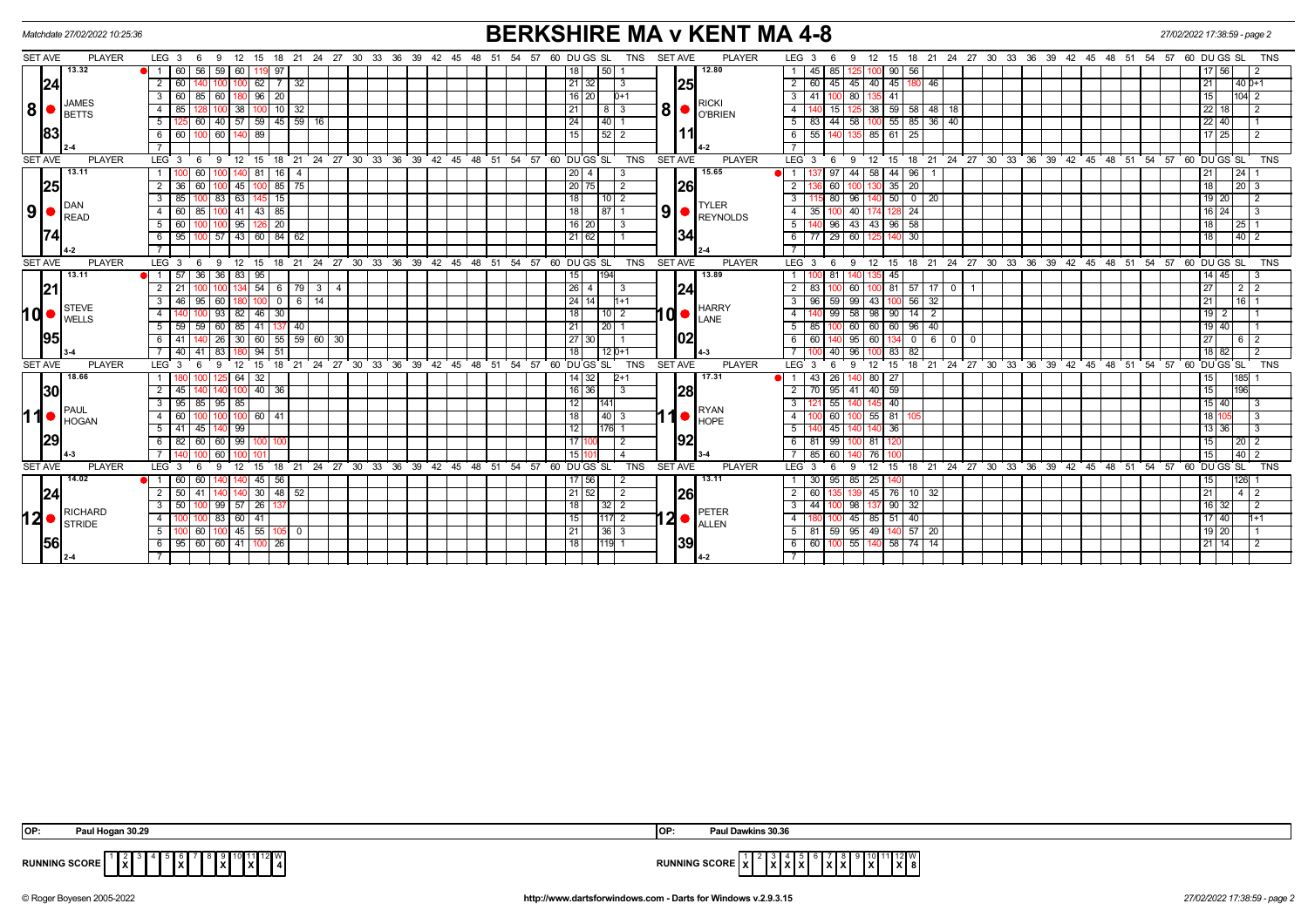|                | Matchdate 27/02/2022 10:25:36 |                                                                                           |                |                            |                               |          |          |                                                             | <b>BERKSHIRE MA v KENT MA 4-8</b>                                                          | 27/02/2022 17:38:59 - page 2                                                                                                                                  |
|----------------|-------------------------------|-------------------------------------------------------------------------------------------|----------------|----------------------------|-------------------------------|----------|----------|-------------------------------------------------------------|--------------------------------------------------------------------------------------------|---------------------------------------------------------------------------------------------------------------------------------------------------------------|
| <b>SET AVE</b> | <b>PLAYER</b>                 | $LEG_36$<br>12<br>18<br>9<br>15                                                           | 21             | 24 27 30 33 36 39 42 45 48 |                               |          |          | 51 54 57 60 DU GS SL                                        | TNS SET AVE<br><b>PLAYER</b>                                                               | 12 15 18 21 24 27 30 33 36 39 42 45 48 51<br>LEG 3<br>54<br>57 60 DU GS SL<br>TNS<br>-9<br>- 6                                                                |
|                | 13.32                         | 60 56<br>59 60<br>-11<br>119 97                                                           |                |                            |                               |          |          | 50 1<br>18 I                                                | 12.80                                                                                      | 45 85<br>56<br>125<br>100 90 I<br>17 56 <br>$\overline{1}$<br>-2                                                                                              |
| 24             |                               | $2 \mid 60$<br>62<br>100                                                                  | 7 3 2          |                            |                               |          |          | $\boxed{21}$ 32<br>3                                        | 25                                                                                         | $\overline{2}$<br>$45 \ 45$<br>40 45 180 46<br>$140D+1$<br>60 l<br>l 21                                                                                       |
|                | JAMES                         | 3   60   85   60   180   96   20                                                          |                |                            |                               |          |          | $16$   20 <br>$D+1$                                         | <b>RICKI</b>                                                                               | $\overline{3}$<br>41 100 80<br>l104l 2<br>135 41<br>15 <sup>1</sup>                                                                                           |
| 8 •            | <b>BETTS</b>                  | 4 I<br>85<br>38<br>10 I                                                                   | -32            |                            |                               |          |          | 21<br>l 3<br>8                                              | $\parallel 8 \parallel$ $\bullet$ $\parallel^{\text{\tiny{RICN}}}_{\text{\tiny{O}'BRIEN}}$ | $\overline{4}$<br>58<br>15 <sup>1</sup><br>$38$ 59<br>48<br>18<br>22   18<br>125<br>-2                                                                        |
|                |                               | $40 \overline{57} \overline{59} \overline{45} \overline{59} \overline{16}$<br>5 I<br>  60 |                |                            |                               |          |          | 24<br>4011                                                  |                                                                                            | $44$ 58<br>$100$ 55 85 36 40<br>5<br>$22$   40<br>83 I                                                                                                        |
| 83             |                               | 89<br>60<br>60 I<br>6 I                                                                   |                |                            |                               |          |          | 15<br>$52$   2                                              | 11                                                                                         | 25<br>6<br>55 14<br>85 61<br>$17 \mid 25$<br>135<br>$\overline{2}$                                                                                            |
|                |                               |                                                                                           |                |                            |                               |          |          |                                                             |                                                                                            | $\overline{7}$                                                                                                                                                |
| <b>SET AVE</b> | <b>PLAYER</b>                 | $LEG_3^6$ 6<br>9 12 15 18 21 24 27 30 33 36 39 42 45 48 51 54 57 60 DUGS SL               |                |                            |                               |          |          | <b>TNS</b>                                                  | <b>SET AVE</b><br><b>PLAYER</b>                                                            | $LEG_3$ 6<br>9 12 15 18 21 24 27 30 33 36 39 42 45 48 51 54 57<br>60 DU GS SL<br><b>TNS</b>                                                                   |
|                | 13.11                         | 81<br>1 <sup>1</sup><br>60<br>16                                                          |                |                            |                               |          |          | 20<br>$\overline{4}$<br>3                                   | 15.65                                                                                      | 44<br>58<br>96<br> 24 <br>$\blacksquare$<br>44                                                                                                                |
| 25             |                               | $185$ 75<br>$2 \mid 36$<br>60<br>$100$ 45<br>100                                          |                |                            |                               |          |          | 20 75<br>$\overline{2}$                                     | <b>26</b>                                                                                  | $\overline{20}$<br>$\vert 20 \vert 3$<br>$\overline{2}$<br>60<br>35<br>18<br>100                                                                              |
|                |                               | 85<br>83   63<br>15<br>-3 I                                                               |                |                            |                               |          |          | 18<br>$10\sqrt{2}$                                          |                                                                                            | $\overline{\cdot \cdot \cdot}$<br>96<br>50<br>$0 \mid 20$<br>80<br>19 20<br>$\overline{2}$                                                                    |
| 9              | DAN<br><b>READ</b>            | 60<br> 43 85<br>4 I<br>85<br>100 41                                                       |                |                            |                               |          |          | 18<br>87                                                    | <b>TYLER</b><br>$\left  9 \right $ $\bullet$ $\left  \frac{1}{\text{REYNOLDS}} \right $    | $-4$<br>40<br>$8\overline{24}$<br>35 <sup>1</sup><br>16   24  <br>-3                                                                                          |
|                |                               | $\overline{20}$<br>60<br>95<br>5 I                                                        |                |                            |                               |          |          | $16$ 20<br>3                                                |                                                                                            | 5<br>43<br>58<br>96<br>43<br>96<br> 25                                                                                                                        |
| 74             |                               | 57 43 60 84 62<br>$6 \mid 95$<br>100                                                      |                |                            |                               |          |          | 21 62                                                       | 34                                                                                         | 77 29 60<br>$0\overline{30}$<br>$140$   2<br>6                                                                                                                |
|                | 1.2                           |                                                                                           |                |                            |                               |          |          |                                                             |                                                                                            | $\overline{7}$                                                                                                                                                |
| <b>SET AVE</b> | <b>PLAYER</b>                 | $LEG \ 3 \ 6$<br>$9 \t12$<br>15                                                           |                |                            |                               |          |          | 18 21 24 27 30 33 36 39 42 45 48 51 54 57 60 DUGS SL<br>TNS | SET AVE<br><b>PLAYER</b>                                                                   | LEG <sub>3</sub><br>12 15 18 21 24 27 30 33 36 39 42 45 48 51 54 57 60 DUGS SL<br><b>TNS</b><br>- 6<br>- 9                                                    |
|                | 13.11                         | 57<br>36 83<br>95<br>1 I<br>36                                                            |                |                            |                               |          |          | 194<br>15                                                   | 13.89                                                                                      | 45<br>$\overline{1}$<br>14   45                                                                                                                               |
| 21             |                               | $100$ 134 54 6 79 3 4<br>2   21                                                           |                |                            |                               |          |          | $\sqrt{26}$ 4<br>3                                          | 24                                                                                         | $\overline{2}$<br>60<br>$100$ 81 57 17 0<br>$2 \mid 2$<br>83<br>27                                                                                            |
|                |                               | 95<br>3 <sup>1</sup><br>46<br>60 I<br>$\overline{0}$                                      | $6 \mid$<br>14 |                            |                               |          |          | 24 14<br>$11+1$                                             |                                                                                            | 56<br>32<br>3<br>96<br>99<br>43<br>16<br>59<br>21                                                                                                             |
| <b>hd</b>      | <b>STEVE</b><br><b>WELLS</b>  | $146$ 30<br>93   82 <br>4 I                                                               |                |                            |                               |          |          | 18<br>$10\overline{2}$                                      | <b>HARRY</b><br>∣d∙<br>LANE                                                                | 58<br>$14$ 2<br>$\overline{4}$<br>98 90<br>1912                                                                                                               |
|                |                               | 59<br>60 85<br>.5 I<br>59<br>41                                                           | 40             |                            |                               |          |          | 21<br>20 <sub>1</sub>                                       |                                                                                            | 5<br>96<br>40<br>85<br>60<br>60<br>60<br>19   40                                                                                                              |
| 95             |                               | 30<br>41<br>26<br>60<br>-6 I                                                              | 55 59 60 30    |                            |                               |          |          | 27 30                                                       | 1021                                                                                       | 95<br>$\overline{0}$<br>$6\overline{6}$<br>6<br>60<br>60<br>$\overline{0}$<br>$6 \mid 2$<br>$\overline{0}$                                                    |
|                |                               | 94<br>51<br>40<br>41<br>83                                                                |                |                            |                               |          |          | 18<br>$12D+1$                                               |                                                                                            | 82<br>96<br>83<br>18 82                                                                                                                                       |
| <b>SET AVE</b> | <b>PLAYER</b>                 | LEG <sub>3</sub><br>18<br>$12 \overline{ }$<br>15<br>9                                    | 21             | 24 27 30 33 36 39 42 45 48 |                               | 51       | 54 57    | 60 DU GS SL<br><b>TNS</b>                                   | <b>SET AVE</b><br><b>PLAYER</b>                                                            | 18 21 24 27 30 33 36 39 42 45 48 51 54 57 60 DUGS SL<br><b>LEG</b><br><b>TNS</b><br>12<br>15<br>6<br><b>q</b>                                                 |
|                | 18.66                         | 64<br>32                                                                                  |                |                            |                               |          |          | $14 \overline{\smash{)}32}$<br>1+2                          | 17.31                                                                                      | 185<br>26<br>80 27<br>43                                                                                                                                      |
| 30             |                               | 40<br>45<br>36<br>2 I<br>100                                                              |                |                            |                               |          |          | 16 36<br>3                                                  | 28                                                                                         | $\overline{2}$<br>$40 \mid 59$<br>196<br>70<br>95 41<br>15                                                                                                    |
|                | PAUL                          | 85<br>$95 \ 85$<br>3 I<br>95                                                              |                |                            |                               |          |          | 12<br>141                                                   | RYAN                                                                                       | $\overline{\mathbf{3}}$<br>145 40<br>55<br>15 40 <br>140<br>-3                                                                                                |
| <b>11</b>      | <b>HOGAN</b>                  | 60<br>-41<br>4<br>60<br>100                                                               |                |                            |                               |          |          | 18<br> 40 3                                                 | 1<br><b>HOPE</b>                                                                           | $\overline{4}$<br>55 81<br>18 I 10<br>-3                                                                                                                      |
|                |                               | $5 \mid 41$<br>140 99<br>45                                                               |                |                            |                               |          |          | 12<br>176 1                                                 |                                                                                            | 5<br>45<br>36<br>13   36<br>-3                                                                                                                                |
| 29             |                               | 60<br>60   99<br>6<br>82                                                                  |                |                            |                               |          |          | 17                                                          | 92                                                                                         | 6<br>-81<br>99<br>81<br>  20   2                                                                                                                              |
|                |                               | 60                                                                                        |                |                            |                               |          |          | 15<br>4                                                     |                                                                                            | $\overline{40}$ 2                                                                                                                                             |
| <b>SET AVE</b> | <b>PLAYER</b>                 | $LEG \ 3$<br>9<br>12<br>15<br>18                                                          | 24 27<br>21    | $30 \quad 33$<br>ີ 36      | $39^{\circ}$<br>$42 \quad 45$ | 51<br>48 | 54<br>57 | <b>TNS</b><br>60<br>DU GS SL                                | <b>SET AVE</b><br><b>PLAYER</b>                                                            | 24 27 30<br>33 36 39<br>$42 \cdot 45$<br>48<br>$51 \quad 54$<br>57<br>60 DU GS SL<br><b>TNS</b><br>LEG <sup>1</sup><br>12<br>15<br>18<br>21<br><b>q</b><br>-6 |
|                | 14.02                         | 45<br>$\blacksquare$ 1 1<br>60<br>56<br>60<br>140                                         |                |                            |                               |          |          | 17 56<br>2                                                  | 13.11                                                                                      | $25 \mid 140$<br>30 95 85<br>1126<br>$\overline{1}$                                                                                                           |
| 24             |                               | 30<br> 48 <br>2 I<br>50<br>41                                                             | 52             |                            |                               |          |          | $21 \, 52$<br>2                                             | <b>26</b>                                                                                  | $\overline{2}$<br>45 76<br>60 l<br>10 <sup>1</sup><br>32<br>$-4$   2<br>21                                                                                    |
|                | <b>RICHARD</b>                | $99$ 57 $26$<br>50<br>3 I                                                                 |                |                            |                               |          |          | 18<br>$32$   2                                              | PETER                                                                                      | 137 90 32<br>$\overline{\mathbf{3}}$<br>44<br>98<br>$\overline{2}$<br>16 32                                                                                   |
|                | $12 \bullet$ STRIDE           | 83 60 41<br>4 I                                                                           |                |                            |                               |          |          | 15<br>$117$ 2                                               | $ 2 $ $ $ $ $ $ $ $ $ allen                                                                | $\overline{4}$<br>45<br>$85$ 51<br>40<br>17 40<br>l1+1                                                                                                        |
|                |                               | $\frac{100}{45}$ $\frac{45}{55}$ $\frac{105}{00}$ $\frac{0}{00}$<br>5   100   60          |                |                            |                               |          |          | 21<br>$ 36 $ 3                                              |                                                                                            | 59 95 49 140 57 20<br>$5\sqrt{2}$<br>$19$   20<br>81                                                                                                          |
| 56             |                               | 6   95   60   60   41   100   26                                                          |                |                            |                               |          |          | 18 <br>119 1                                                | 39                                                                                         | 60 100 55 140 58 74 14<br>6<br>$21$ 14<br>$\overline{2}$                                                                                                      |
|                |                               |                                                                                           |                |                            |                               |          |          |                                                             | 14-2                                                                                       | $\overline{7}$                                                                                                                                                |

| .an 30.2°<br><b>OP</b><br><b>Paul Hom</b>                                    | ins 30.36<br>lor                                                                                                                                |
|------------------------------------------------------------------------------|-------------------------------------------------------------------------------------------------------------------------------------------------|
| 312LV<br><b>RUNNING SCORE</b><br>l v l<br>.<br>.<br>$\mathbf{L}$<br>.<br>. . | 112V<br>.<br>$\frac{1}{2}$<br>יהמי<br>.<br>.<br>IXIXI<br><b>RUNNING SCORE</b><br>$1^{\lambda}1^{\lambda}$<br>8 A B<br>.<br>$\mathbf{A}$<br>- 11 |